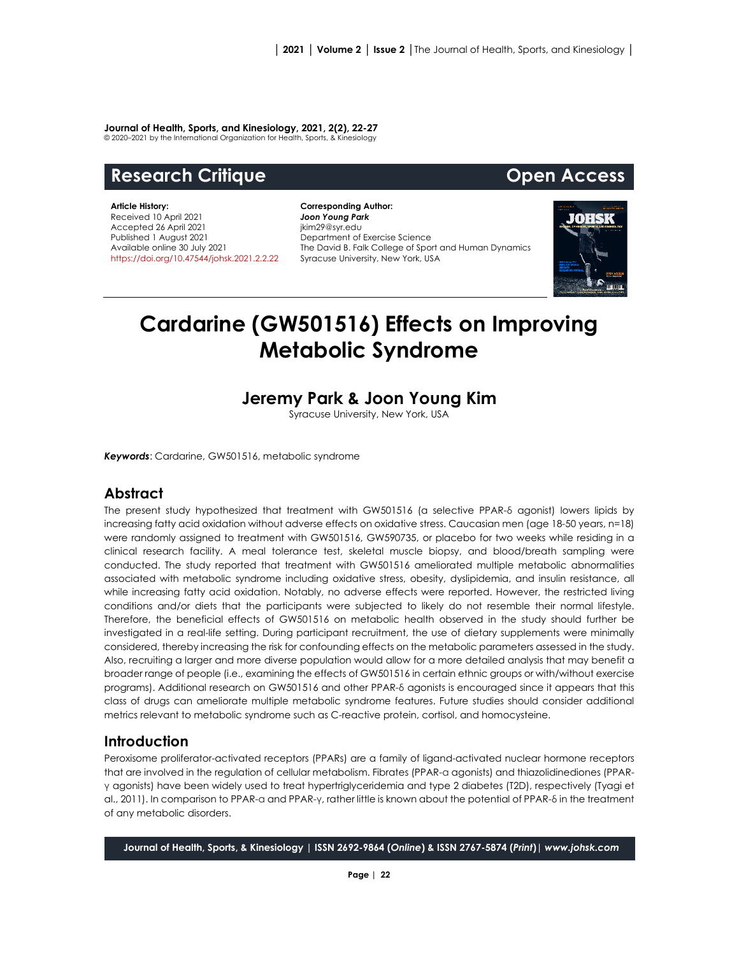#### **Journal of Health, Sports, and Kinesiology, 2021, 2(2), 22-27**

© 2020–2021 by the International Organization for Health, Sports, & Kinesiology

# **Research Critique Community Community Research Critique Community Community Community Community Community Community**

**Article History:** Received 10 April 2021 Accepted 26 April 2021 Published 1 August 2021 Available online 30 July 2021 [https://doi.org/10.47544/johsk.2021.2.2.2](https://doi.org/10.47544/johsk.2021.2.2.)2

**Corresponding Author:** *Joon Young Park* jkim29@syr.edu Department of Exercise Science The David B. Falk College of Sport and Human Dynamics Syracuse University, New York, USA



# **Cardarine (GW501516) Effects on Improving Metabolic Syndrome**

## **Jeremy Park & Joon Young Kim**

Syracuse University, New York, USA

*Keywords*: Cardarine, GW501516, metabolic syndrome

### **Abstract**

The present study hypothesized that treatment with GW501516 (a selective PPAR-δ agonist) lowers lipids by increasing fatty acid oxidation without adverse effects on oxidative stress. Caucasian men (age 18-50 years, n=18) were randomly assigned to treatment with GW501516, GW590735, or placebo for two weeks while residing in a clinical research facility. A meal tolerance test, skeletal muscle biopsy, and blood/breath sampling were conducted. The study reported that treatment with GW501516 ameliorated multiple metabolic abnormalities associated with metabolic syndrome including oxidative stress, obesity, dyslipidemia, and insulin resistance, all while increasing fatty acid oxidation. Notably, no adverse effects were reported. However, the restricted living conditions and/or diets that the participants were subjected to likely do not resemble their normal lifestyle. Therefore, the beneficial effects of GW501516 on metabolic health observed in the study should further be investigated in a real-life setting. During participant recruitment, the use of dietary supplements were minimally considered, thereby increasing the risk for confounding effects on the metabolic parameters assessed in the study. Also, recruiting a larger and more diverse population would allow for a more detailed analysis that may benefit a broader range of people (i.e., examining the effects of GW501516 in certain ethnic groups or with/without exercise programs). Additional research on GW501516 and other PPAR-δ agonists is encouraged since it appears that this class of drugs can ameliorate multiple metabolic syndrome features. Future studies should consider additional metrics relevant to metabolic syndrome such as C-reactive protein, cortisol, and homocysteine.

### **Introduction**

Peroxisome proliferator-activated receptors (PPARs) are a family of ligand-activated nuclear hormone receptors that are involved in the regulation of cellular metabolism. Fibrates (PPAR-α agonists) and thiazolidinediones (PPARγ agonists) have been widely used to treat hypertriglyceridemia and type 2 diabetes (T2D), respectively (Tyagi et al., 2011). In comparison to PPAR-α and PPAR-γ, rather little is known about the potential of PPAR-δ in the treatment of any metabolic disorders.

**Journal of Health, Sports, & Kinesiology | ISSN 2692-9864 (***Online***) & ISSN 2767-5874 (***Print***)|** *www.johsk.com*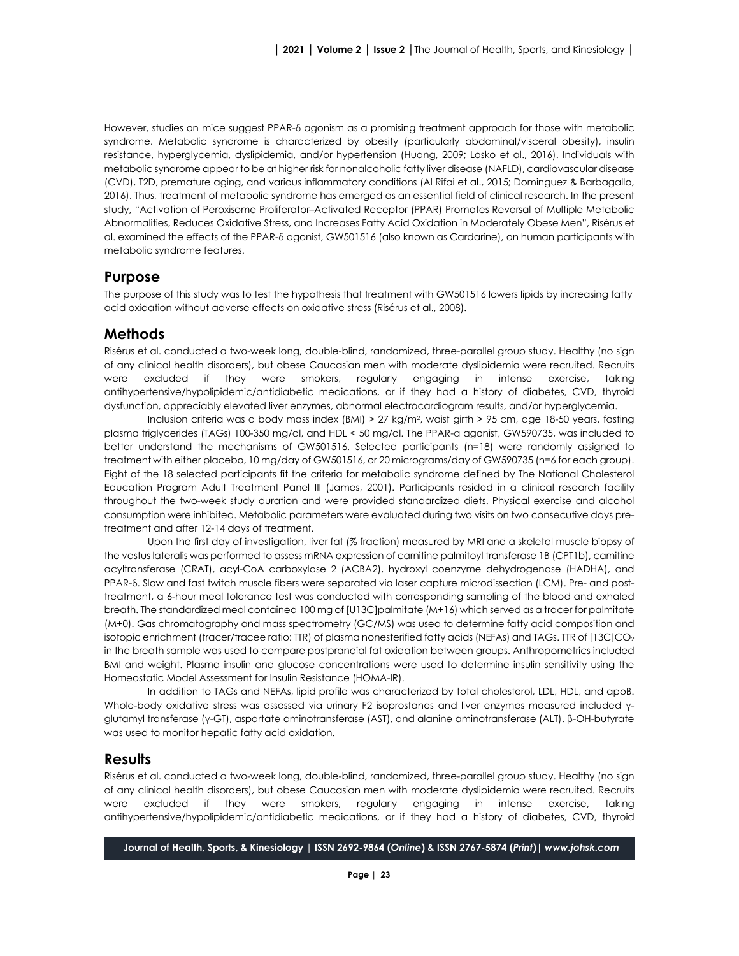However, studies on mice suggest PPAR-δ agonism as a promising treatment approach for those with metabolic syndrome. Metabolic syndrome is characterized by obesity (particularly abdominal/visceral obesity), insulin resistance, hyperglycemia, dyslipidemia, and/or hypertension (Huang, 2009; Losko et al., 2016). Individuals with metabolic syndrome appear to be at higher risk for nonalcoholic fatty liver disease (NAFLD), cardiovascular disease (CVD), T2D, premature aging, and various inflammatory conditions (Al Rifai et al., 2015; Dominguez & Barbagallo, 2016). Thus, treatment of metabolic syndrome has emerged as an essential field of clinical research. In the present study, "Activation of Peroxisome Proliferator–Activated Receptor (PPAR) Promotes Reversal of Multiple Metabolic Abnormalities, Reduces Oxidative Stress, and Increases Fatty Acid Oxidation in Moderately Obese Men", Risérus et al. examined the effects of the PPAR-δ agonist, GW501516 (also known as Cardarine), on human participants with metabolic syndrome features.

#### **Purpose**

The purpose of this study was to test the hypothesis that treatment with GW501516 lowers lipids by increasing fatty acid oxidation without adverse effects on oxidative stress (Risérus et al., 2008).

#### **Methods**

Risérus et al. conducted a two-week long, double-blind, randomized, three-parallel group study. Healthy (no sign of any clinical health disorders), but obese Caucasian men with moderate dyslipidemia were recruited. Recruits were excluded if they were smokers, regularly engaging in intense exercise, taking antihypertensive/hypolipidemic/antidiabetic medications, or if they had a history of diabetes, CVD, thyroid dysfunction, appreciably elevated liver enzymes, abnormal electrocardiogram results, and/or hyperglycemia.

Inclusion criteria was a body mass index (BMI) > 27 kg/m2, waist girth > 95 cm, age 18-50 years, fasting plasma triglycerides (TAGs) 100-350 mg/dl, and HDL < 50 mg/dl. The PPAR-α agonist, GW590735, was included to better understand the mechanisms of GW501516. Selected participants (n=18) were randomly assigned to treatment with either placebo, 10 mg/day of GW501516, or 20 micrograms/day of GW590735 (n=6 for each group). Eight of the 18 selected participants fit the criteria for metabolic syndrome defined by The National Cholesterol Education Program Adult Treatment Panel III (James, 2001). Participants resided in a clinical research facility throughout the two-week study duration and were provided standardized diets. Physical exercise and alcohol consumption were inhibited. Metabolic parameters were evaluated during two visits on two consecutive days pretreatment and after 12-14 days of treatment.

Upon the first day of investigation, liver fat (% fraction) measured by MRI and a skeletal muscle biopsy of the vastus lateralis was performed to assess mRNA expression of carnitine palmitoyl transferase 1B (CPT1b), carnitine acyltransferase (CRAT), acyl-CoA carboxylase 2 (ACBA2), hydroxyl coenzyme dehydrogenase (HADHA), and PPAR-δ. Slow and fast twitch muscle fibers were separated via laser capture microdissection (LCM). Pre- and posttreatment, a 6-hour meal tolerance test was conducted with corresponding sampling of the blood and exhaled breath. The standardized meal contained 100 mg of [U13C]palmitate (M+16) which served as a tracer for palmitate (M+0). Gas chromatography and mass spectrometry (GC/MS) was used to determine fatty acid composition and isotopic enrichment (tracer/tracee ratio: TTR) of plasma nonesterified fatty acids (NEFAs) and TAGs. TTR of [13C]CO<sub>2</sub> in the breath sample was used to compare postprandial fat oxidation between groups. Anthropometrics included BMI and weight. Plasma insulin and glucose concentrations were used to determine insulin sensitivity using the Homeostatic Model Assessment for Insulin Resistance (HOMA-IR).

In addition to TAGs and NEFAs, lipid profile was characterized by total cholesterol, LDL, HDL, and apoB. Whole-body oxidative stress was assessed via urinary F2 isoprostanes and liver enzymes measured included γglutamyl transferase (γ-GT), aspartate aminotransferase (AST), and alanine aminotransferase (ALT). β-OH-butyrate was used to monitor hepatic fatty acid oxidation.

#### **Results**

Risérus et al. conducted a two-week long, double-blind, randomized, three-parallel group study. Healthy (no sign of any clinical health disorders), but obese Caucasian men with moderate dyslipidemia were recruited. Recruits were excluded if they were smokers, regularly engaging in intense exercise, taking antihypertensive/hypolipidemic/antidiabetic medications, or if they had a history of diabetes, CVD, thyroid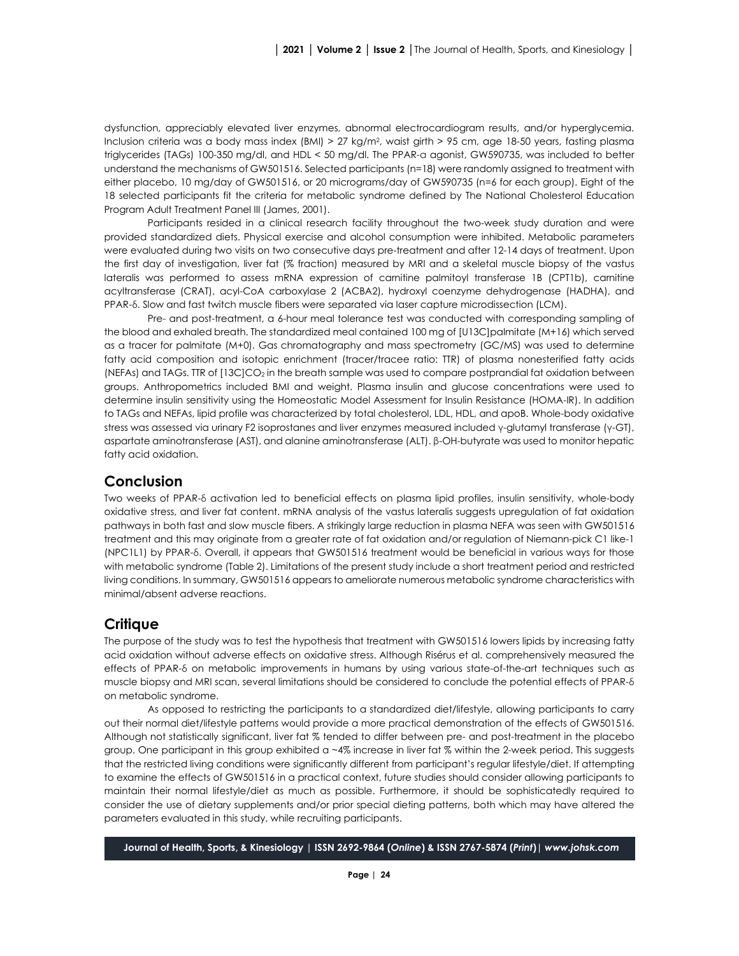dysfunction, appreciably elevated liver enzymes, abnormal electrocardiogram results, and/or hyperglycemia. Inclusion criteria was a body mass index (BMI) > 27 kg/m2, waist girth > 95 cm, age 18-50 years, fasting plasma triglycerides (TAGs) 100-350 mg/dl, and HDL < 50 mg/dl. The PPAR-α agonist, GW590735, was included to better understand the mechanisms of GW501516. Selected participants (n=18) were randomly assigned to treatment with either placebo, 10 mg/day of GW501516, or 20 micrograms/day of GW590735 (n=6 for each group). Eight of the 18 selected participants fit the criteria for metabolic syndrome defined by The National Cholesterol Education Program Adult Treatment Panel III (James, 2001).

Participants resided in a clinical research facility throughout the two-week study duration and were provided standardized diets. Physical exercise and alcohol consumption were inhibited. Metabolic parameters were evaluated during two visits on two consecutive days pre-treatment and after 12-14 days of treatment. Upon the first day of investigation, liver fat (% fraction) measured by MRI and a skeletal muscle biopsy of the vastus lateralis was performed to assess mRNA expression of carnitine palmitoyl transferase 1B (CPT1b), carnitine acyltransferase (CRAT), acyl-CoA carboxylase 2 (ACBA2), hydroxyl coenzyme dehydrogenase (HADHA), and PPAR-δ. Slow and fast twitch muscle fibers were separated via laser capture microdissection (LCM).

Pre- and post-treatment, a 6-hour meal tolerance test was conducted with corresponding sampling of the blood and exhaled breath. The standardized meal contained 100 mg of [U13C]palmitate (M+16) which served as a tracer for palmitate (M+0). Gas chromatography and mass spectrometry (GC/MS) was used to determine fatty acid composition and isotopic enrichment (tracer/tracee ratio: TTR) of plasma nonesterified fatty acids (NEFAs) and TAGs. TTR of [13C]CO2 in the breath sample was used to compare postprandial fat oxidation between groups. Anthropometrics included BMI and weight. Plasma insulin and glucose concentrations were used to determine insulin sensitivity using the Homeostatic Model Assessment for Insulin Resistance (HOMA-IR). In addition to TAGs and NEFAs, lipid profile was characterized by total cholesterol, LDL, HDL, and apoB. Whole-body oxidative stress was assessed via urinary F2 isoprostanes and liver enzymes measured included γ-glutamyl transferase (γ-GT), aspartate aminotransferase (AST), and alanine aminotransferase (ALT). β-OH-butyrate was used to monitor hepatic fatty acid oxidation.

#### **Conclusion**

Two weeks of PPAR-δ activation led to beneficial effects on plasma lipid profiles, insulin sensitivity, whole-body oxidative stress, and liver fat content. mRNA analysis of the vastus lateralis suggests upregulation of fat oxidation pathways in both fast and slow muscle fibers. A strikingly large reduction in plasma NEFA was seen with GW501516 treatment and this may originate from a greater rate of fat oxidation and/or regulation of Niemann-pick C1 like-1 (NPC1L1) by PPAR-δ. Overall, it appears that GW501516 treatment would be beneficial in various ways for those with metabolic syndrome (Table 2). Limitations of the present study include a short treatment period and restricted living conditions. In summary, GW501516 appears to ameliorate numerous metabolic syndrome characteristics with minimal/absent adverse reactions.

#### **Critique**

The purpose of the study was to test the hypothesis that treatment with GW501516 lowers lipids by increasing fatty acid oxidation without adverse effects on oxidative stress. Although Risérus et al. comprehensively measured the effects of PPAR-δ on metabolic improvements in humans by using various state-of-the-art techniques such as muscle biopsy and MRI scan, several limitations should be considered to conclude the potential effects of PPAR-δ on metabolic syndrome.

As opposed to restricting the participants to a standardized diet/lifestyle, allowing participants to carry out their normal diet/lifestyle patterns would provide a more practical demonstration of the effects of GW501516. Although not statistically significant, liver fat % tended to differ between pre- and post-treatment in the placebo group. One participant in this group exhibited a ~4% increase in liver fat % within the 2-week period. This suggests that the restricted living conditions were significantly different from participant's regular lifestyle/diet. If attempting to examine the effects of GW501516 in a practical context, future studies should consider allowing participants to maintain their normal lifestyle/diet as much as possible. Furthermore, it should be sophisticatedly required to consider the use of dietary supplements and/or prior special dieting patterns, both which may have altered the parameters evaluated in this study, while recruiting participants.

**Journal of Health, Sports, & Kinesiology | ISSN 2692-9864 (***Online***) & ISSN 2767-5874 (***Print***)|** *www.johsk.com*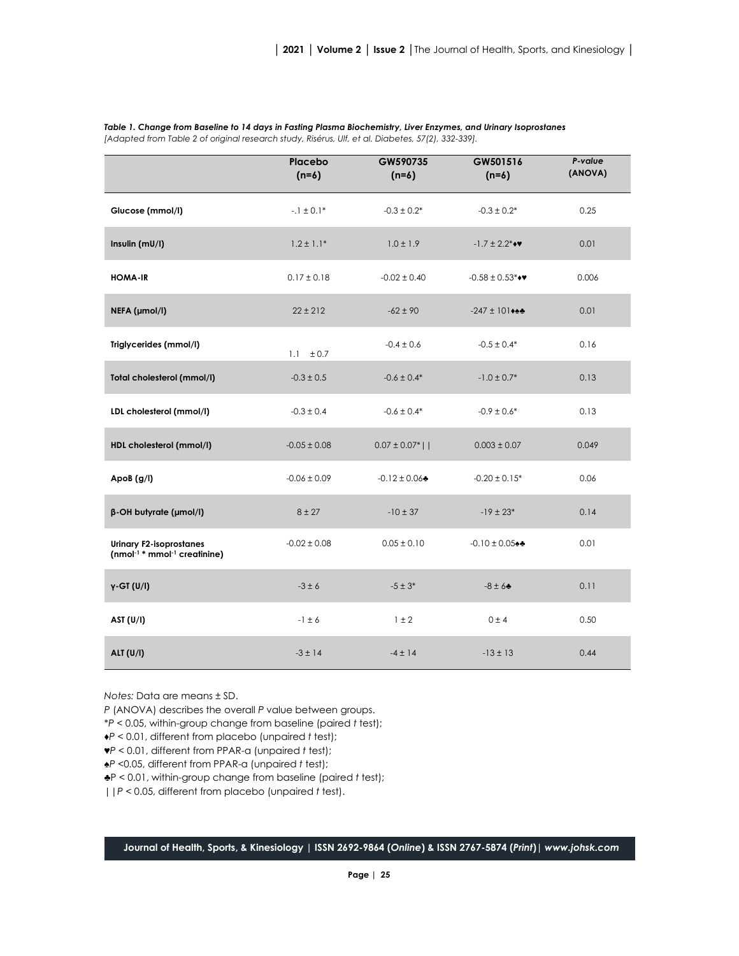|                                                                                        | Placebo<br>$(n=6)$ | GW590735<br>$(n=6)$ | GW501516<br>$(n=6)$           | P-value<br>(ANOVA) |
|----------------------------------------------------------------------------------------|--------------------|---------------------|-------------------------------|--------------------|
| Glucose (mmol/l)                                                                       | $-1 \pm 0.1*$      | $-0.3 \pm 0.2^*$    | $-0.3 \pm 0.2^*$              | 0.25               |
| Insulin (mU/I)                                                                         | $1.2 \pm 1.1*$     | $1.0 \pm 1.9$       | $-1.7 \pm 2.2$ ***            | 0.01               |
| <b>HOMA-IR</b>                                                                         | $0.17 \pm 0.18$    | $-0.02 \pm 0.40$    | $-0.58 \pm 0.53$ ***          | 0.006              |
| NEFA (µmol/l)                                                                          | $22 \pm 212$       | $-62 \pm 90$        | $-247 \pm 101$                | 0.01               |
| Triglycerides (mmol/l)                                                                 | 1.1 $\pm 0.7$      | $-0.4 \pm 0.6$      | $-0.5 \pm 0.4*$               | 0.16               |
| Total cholesterol (mmol/l)                                                             | $-0.3 \pm 0.5$     | $-0.6 \pm 0.4*$     | $-1.0 \pm 0.7*$               | 0.13               |
| LDL cholesterol (mmol/l)                                                               | $-0.3 \pm 0.4$     | $-0.6 \pm 0.4*$     | $-0.9 \pm 0.6*$               | 0.13               |
| HDL cholesterol (mmol/l)                                                               | $-0.05 \pm 0.08$   | $0.07 \pm 0.07$ *   | $0.003 \pm 0.07$              | 0.049              |
| ApoB $(g/I)$                                                                           | $-0.06 \pm 0.09$   | $-0.12 \pm 0.06$    | $-0.20 \pm 0.15$ <sup>*</sup> | 0.06               |
| β-OH butyrate (μmol/l)                                                                 | $8 + 27$           | $-10 \pm 37$        | $-19 \pm 23*$                 | 0.14               |
| <b>Urinary F2-isoprostanes</b><br>(nmol <sup>-1 *</sup> mmol <sup>-1</sup> creatinine) | $-0.02 \pm 0.08$   | $0.05 \pm 0.10$     | $-0.10 \pm 0.05$              | 0.01               |
| $y$ -GT $(U/I)$                                                                        | $-3 \pm 6$         | $-5 \pm 3*$         | $-8 \pm 6$                    | 0.11               |
| AST $(U/I)$                                                                            | $-1 \pm 6$         | $1 \pm 2$           | 0±4                           | 0.50               |
| <b>ALT (U/I)</b>                                                                       | $-3 \pm 14$        | $-4 \pm 14$         | $-13 \pm 13$                  | 0.44               |

*Table 1. Change from Baseline to 14 days in Fasting Plasma Biochemistry, Liver Enzymes, and Urinary Isoprostanes [Adapted from Table 2 of original research study, Risérus, Ulf, et al. Diabetes, 57(2), 332-339].*

*Notes:* Data are means ± SD.

*P* (ANOVA) describes the overall *P* value between groups.

\**P* < 0.05, within-group change from baseline (paired *t* test);

♦*P* < 0.01, different from placebo (unpaired *t* test);

♥*P* < 0.01, different from PPAR-α (unpaired *t* test);

♠*P* <0.05, different from PPAR-α (unpaired *t* test);

♣P < 0.01, within-group change from baseline (paired *t* test);

||*P* < 0.05, different from placebo (unpaired *t* test).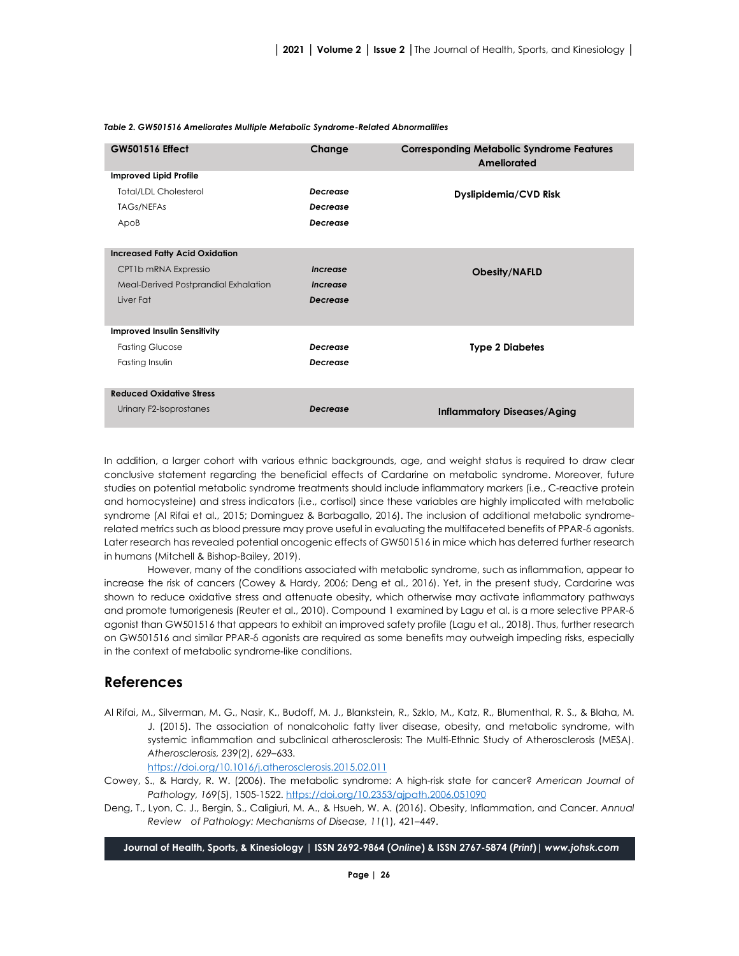| <b>GW501516 Effect</b>                | Change          | <b>Corresponding Metabolic Syndrome Features</b><br>Ameliorated |  |  |
|---------------------------------------|-----------------|-----------------------------------------------------------------|--|--|
| <b>Improved Lipid Profile</b>         |                 |                                                                 |  |  |
| <b>Total/LDL Cholesterol</b>          | <b>Decrease</b> | Dyslipidemia/CVD Risk                                           |  |  |
| <b>TAGs/NEFAs</b>                     | <b>Decrease</b> |                                                                 |  |  |
| ApoB                                  | Decrease        |                                                                 |  |  |
|                                       |                 |                                                                 |  |  |
| <b>Increased Fatty Acid Oxidation</b> |                 |                                                                 |  |  |
| CPT1b mRNA Expressio                  | Increase        | <b>Obesity/NAFLD</b>                                            |  |  |
| Meal-Derived Postprandial Exhalation  | Increase        |                                                                 |  |  |
| Liver Fat                             | <b>Decrease</b> |                                                                 |  |  |
|                                       |                 |                                                                 |  |  |
| <b>Improved Insulin Sensitivity</b>   |                 |                                                                 |  |  |
| <b>Fasting Glucose</b>                | Decrease        | <b>Type 2 Diabetes</b>                                          |  |  |
| Fasting Insulin                       | Decrease        |                                                                 |  |  |
|                                       |                 |                                                                 |  |  |
| <b>Reduced Oxidative Stress</b>       |                 |                                                                 |  |  |
| Urinary F2-Isoprostanes               | <b>Decrease</b> | <b>Inflammatory Diseases/Aging</b>                              |  |  |
|                                       |                 |                                                                 |  |  |

#### *Table 2. GW501516 Ameliorates Multiple Metabolic Syndrome-Related Abnormalities*

In addition, a larger cohort with various ethnic backgrounds, age, and weight status is required to draw clear conclusive statement regarding the beneficial effects of Cardarine on metabolic syndrome. Moreover, future studies on potential metabolic syndrome treatments should include inflammatory markers (i.e., C-reactive protein and homocysteine) and stress indicators (i.e., cortisol) since these variables are highly implicated with metabolic syndrome (Al Rifai et al., 2015; Dominguez & Barbagallo, 2016). The inclusion of additional metabolic syndromerelated metrics such as blood pressure may prove useful in evaluating the multifaceted benefits of PPAR-δ agonists. Later research has revealed potential oncogenic effects of GW501516 in mice which has deterred further research in humans (Mitchell & Bishop-Bailey, 2019).

However, many of the conditions associated with metabolic syndrome, such as inflammation, appear to increase the risk of cancers (Cowey & Hardy, 2006; Deng et al., 2016). Yet, in the present study, Cardarine was shown to reduce oxidative stress and attenuate obesity, which otherwise may activate inflammatory pathways and promote tumorigenesis (Reuter et al., 2010). Compound 1 examined by Lagu et al. is a more selective PPAR-δ agonist than GW501516 that appears to exhibit an improved safety profile (Lagu et al., 2018). Thus, further research on GW501516 and similar PPAR-δ agonists are required as some benefits may outweigh impeding risks, especially in the context of metabolic syndrome-like conditions.

#### **References**

Al Rifai, M., Silverman, M. G., Nasir, K., Budoff, M. J., Blankstein, R., Szklo, M., Katz, R., Blumenthal, R. S., & Blaha, M. J. (2015). The association of nonalcoholic fatty liver disease, obesity, and metabolic syndrome, with systemic inflammation and subclinical atherosclerosis: The Multi-Ethnic Study of Atherosclerosis (MESA). *Atherosclerosis, 239*(2), 629–633.

<https://doi.org/10.1016/j.atherosclerosis.2015.02.011>

- Cowey, S., & Hardy, R. W. (2006). The metabolic syndrome: A high-risk state for cancer? *American Journal of Pathology, 169*(5), 1505-1522.<https://doi.org/10.2353/ajpath.2006.051090>
- Deng, T., Lyon, C. J., Bergin, S., Caligiuri, M. A., & Hsueh, W. A. (2016). Obesity, Inflammation, and Cancer. *Annual Review of Pathology: Mechanisms of Disease, 11*(1), 421–449.

**Journal of Health, Sports, & Kinesiology | ISSN 2692-9864 (***Online***) & ISSN 2767-5874 (***Print***)|** *www.johsk.com*